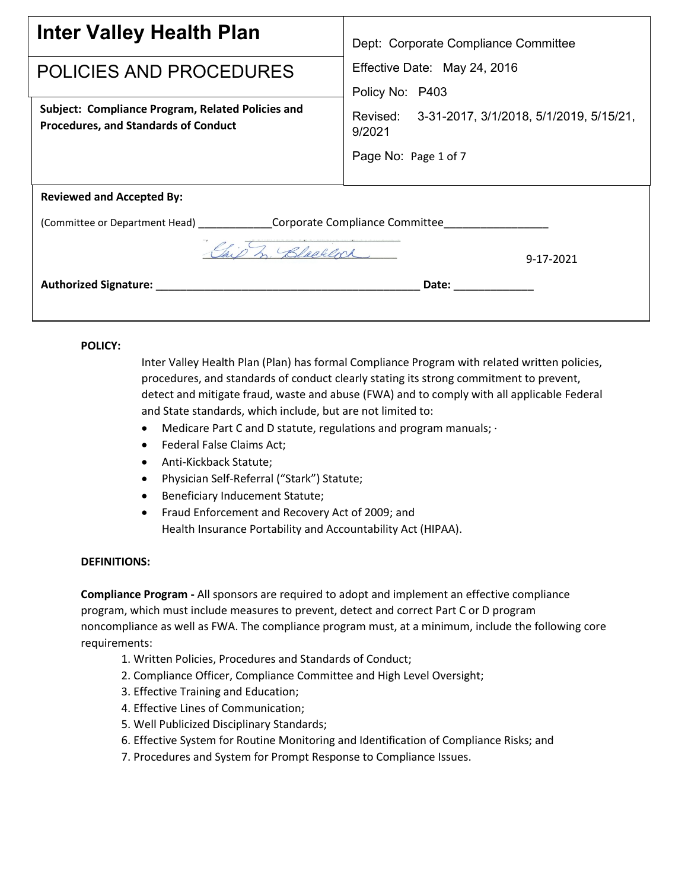| <b>Inter Valley Health Plan</b>                                                                  | Dept: Corporate Compliance Committee                       |
|--------------------------------------------------------------------------------------------------|------------------------------------------------------------|
| POLICIES AND PROCEDURES                                                                          | Effective Date: May 24, 2016                               |
|                                                                                                  | Policy No: P403                                            |
| Subject: Compliance Program, Related Policies and<br><b>Procedures, and Standards of Conduct</b> | Revised: 3-31-2017, 3/1/2018, 5/1/2019, 5/15/21,<br>9/2021 |
|                                                                                                  | Page No: Page 1 of 7                                       |
|                                                                                                  |                                                            |
| <b>Reviewed and Accepted By:</b>                                                                 |                                                            |
| (Committee or Department Head) Corporate Compliance Committee                                    |                                                            |
| 2 Blacklock<br>9-17-2021                                                                         |                                                            |
|                                                                                                  | Date: _____________                                        |
|                                                                                                  |                                                            |

### **POLICY:**

Inter Valley Health Plan (Plan) has formal Compliance Program with related written policies, procedures, and standards of conduct clearly stating its strong commitment to prevent, detect and mitigate fraud, waste and abuse (FWA) and to comply with all applicable Federal and State standards, which include, but are not limited to:

- Medicare Part C and D statute, regulations and program manuals;  $\cdot$
- Federal False Claims Act;
- Anti-Kickback Statute;
- Physician Self-Referral ("Stark") Statute;
- Beneficiary Inducement Statute;
- Fraud Enforcement and Recovery Act of 2009; and Health Insurance Portability and Accountability Act (HIPAA).

## **DEFINITIONS:**

**Compliance Program -** All sponsors are required to adopt and implement an effective compliance program, which must include measures to prevent, detect and correct Part C or D program noncompliance as well as FWA. The compliance program must, at a minimum, include the following core requirements:

- 1. Written Policies, Procedures and Standards of Conduct;
- 2. Compliance Officer, Compliance Committee and High Level Oversight;
- 3. Effective Training and Education;
- 4. Effective Lines of Communication;
- 5. Well Publicized Disciplinary Standards;
- 6. Effective System for Routine Monitoring and Identification of Compliance Risks; and
- 7. Procedures and System for Prompt Response to Compliance Issues.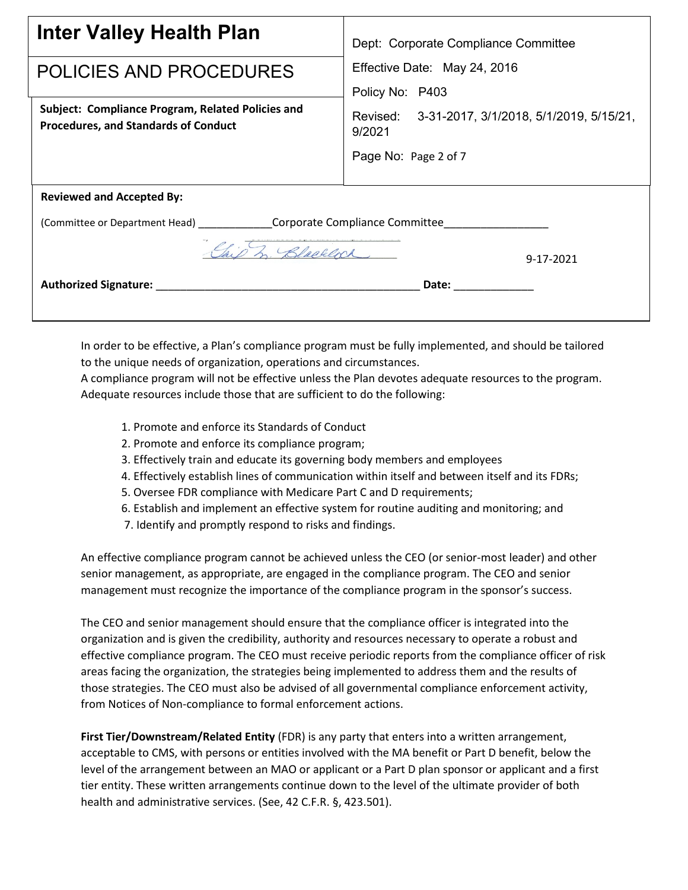| <b>Inter Valley Health Plan</b>                                                                  | Dept: Corporate Compliance Committee                                                                                                                                                                                           |
|--------------------------------------------------------------------------------------------------|--------------------------------------------------------------------------------------------------------------------------------------------------------------------------------------------------------------------------------|
| POLICIES AND PROCEDURES                                                                          | Effective Date: May 24, 2016                                                                                                                                                                                                   |
|                                                                                                  | Policy No: P403                                                                                                                                                                                                                |
| Subject: Compliance Program, Related Policies and<br><b>Procedures, and Standards of Conduct</b> | Revised: 3-31-2017, 3/1/2018, 5/1/2019, 5/15/21,<br>9/2021                                                                                                                                                                     |
|                                                                                                  | Page No: Page 2 of 7                                                                                                                                                                                                           |
|                                                                                                  |                                                                                                                                                                                                                                |
| <b>Reviewed and Accepted By:</b>                                                                 |                                                                                                                                                                                                                                |
| (Committee or Department Head) Corporate Compliance Committee                                    |                                                                                                                                                                                                                                |
| 3. Blacklock<br>9-17-2021                                                                        |                                                                                                                                                                                                                                |
| <b>Authorized Signature:</b> Authorized Signature:                                               | Date: the contract of the contract of the contract of the contract of the contract of the contract of the contract of the contract of the contract of the contract of the contract of the contract of the contract of the cont |
|                                                                                                  |                                                                                                                                                                                                                                |

In order to be effective, a Plan's compliance program must be fully implemented, and should be tailored to the unique needs of organization, operations and circumstances.

A compliance program will not be effective unless the Plan devotes adequate resources to the program. Adequate resources include those that are sufficient to do the following:

- 1. Promote and enforce its Standards of Conduct
- 2. Promote and enforce its compliance program;
- 3. Effectively train and educate its governing body members and employees
- 4. Effectively establish lines of communication within itself and between itself and its FDRs;
- 5. Oversee FDR compliance with Medicare Part C and D requirements;
- 6. Establish and implement an effective system for routine auditing and monitoring; and
- 7. Identify and promptly respond to risks and findings.

An effective compliance program cannot be achieved unless the CEO (or senior-most leader) and other senior management, as appropriate, are engaged in the compliance program. The CEO and senior management must recognize the importance of the compliance program in the sponsor's success.

The CEO and senior management should ensure that the compliance officer is integrated into the organization and is given the credibility, authority and resources necessary to operate a robust and effective compliance program. The CEO must receive periodic reports from the compliance officer of risk areas facing the organization, the strategies being implemented to address them and the results of those strategies. The CEO must also be advised of all governmental compliance enforcement activity, from Notices of Non-compliance to formal enforcement actions.

**First Tier/Downstream/Related Entity** (FDR) is any party that enters into a written arrangement, acceptable to CMS, with persons or entities involved with the MA benefit or Part D benefit, below the level of the arrangement between an MAO or applicant or a Part D plan sponsor or applicant and a first tier entity. These written arrangements continue down to the level of the ultimate provider of both health and administrative services. (See, 42 C.F.R. §, 423.501).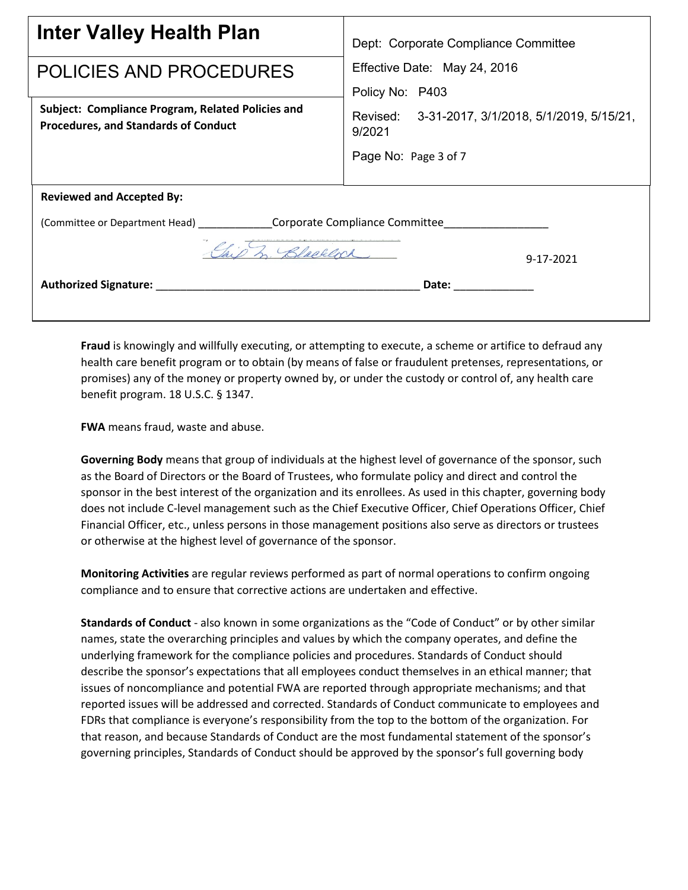| Inter Valley Health Plan                                                                         | Dept: Corporate Compliance Committee                       |
|--------------------------------------------------------------------------------------------------|------------------------------------------------------------|
| POLICIES AND PROCEDURES                                                                          | Effective Date: May 24, 2016                               |
|                                                                                                  | Policy No: P403                                            |
| Subject: Compliance Program, Related Policies and<br><b>Procedures, and Standards of Conduct</b> | Revised: 3-31-2017, 3/1/2018, 5/1/2019, 5/15/21,<br>9/2021 |
|                                                                                                  | Page No: Page 3 of 7                                       |
|                                                                                                  |                                                            |
| <b>Reviewed and Accepted By:</b>                                                                 |                                                            |
| (Committee or Department Head) Corporate Compliance Committee                                    |                                                            |
| 3. Blacklock,<br>9-17-2021                                                                       |                                                            |
| Authorized Signature: National Authorized Signature:                                             |                                                            |
|                                                                                                  |                                                            |

**Fraud** is knowingly and willfully executing, or attempting to execute, a scheme or artifice to defraud any health care benefit program or to obtain (by means of false or fraudulent pretenses, representations, or promises) any of the money or property owned by, or under the custody or control of, any health care benefit program. 18 U.S.C. § 1347.

**FWA** means fraud, waste and abuse.

**Governing Body** means that group of individuals at the highest level of governance of the sponsor, such as the Board of Directors or the Board of Trustees, who formulate policy and direct and control the sponsor in the best interest of the organization and its enrollees. As used in this chapter, governing body does not include C-level management such as the Chief Executive Officer, Chief Operations Officer, Chief Financial Officer, etc., unless persons in those management positions also serve as directors or trustees or otherwise at the highest level of governance of the sponsor.

**Monitoring Activities** are regular reviews performed as part of normal operations to confirm ongoing compliance and to ensure that corrective actions are undertaken and effective.

**Standards of Conduct** - also known in some organizations as the "Code of Conduct" or by other similar names, state the overarching principles and values by which the company operates, and define the underlying framework for the compliance policies and procedures. Standards of Conduct should describe the sponsor's expectations that all employees conduct themselves in an ethical manner; that issues of noncompliance and potential FWA are reported through appropriate mechanisms; and that reported issues will be addressed and corrected. Standards of Conduct communicate to employees and FDRs that compliance is everyone's responsibility from the top to the bottom of the organization. For that reason, and because Standards of Conduct are the most fundamental statement of the sponsor's governing principles, Standards of Conduct should be approved by the sponsor's full governing body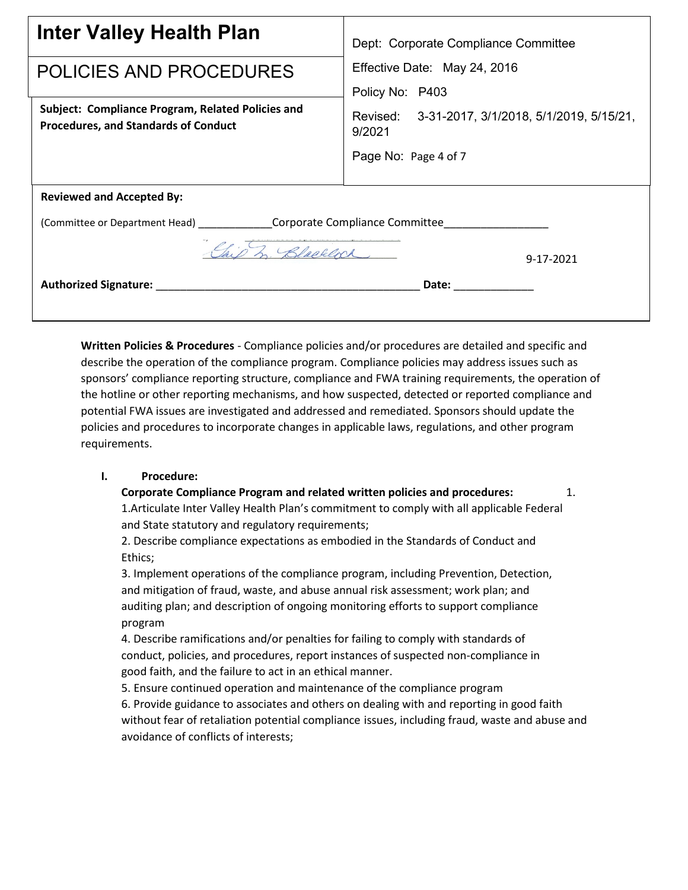| <b>Inter Valley Health Plan</b>                                                                  | Dept: Corporate Compliance Committee                       |
|--------------------------------------------------------------------------------------------------|------------------------------------------------------------|
| POLICIES AND PROCEDURES                                                                          | Effective Date: May 24, 2016                               |
|                                                                                                  | Policy No: P403                                            |
| Subject: Compliance Program, Related Policies and<br><b>Procedures, and Standards of Conduct</b> | Revised: 3-31-2017, 3/1/2018, 5/1/2019, 5/15/21,<br>9/2021 |
|                                                                                                  | Page No: Page 4 of 7                                       |
|                                                                                                  |                                                            |
| <b>Reviewed and Accepted By:</b>                                                                 |                                                            |
| (Committee or Department Head) <b>Corporate Compliance Committee</b>                             |                                                            |
| 3. Blacklock<br>9-17-2021                                                                        |                                                            |
|                                                                                                  | Date: ____________                                         |
|                                                                                                  |                                                            |

**Written Policies & Procedures** - Compliance policies and/or procedures are detailed and specific and describe the operation of the compliance program. Compliance policies may address issues such as sponsors' compliance reporting structure, compliance and FWA training requirements, the operation of the hotline or other reporting mechanisms, and how suspected, detected or reported compliance and potential FWA issues are investigated and addressed and remediated. Sponsors should update the policies and procedures to incorporate changes in applicable laws, regulations, and other program requirements.

#### **I. Procedure:**

# **Corporate Compliance Program and related written policies and procedures:** 1. 1.Articulate Inter Valley Health Plan's commitment to comply with all applicable Federal

and State statutory and regulatory requirements; 2. Describe compliance expectations as embodied in the Standards of Conduct and

Ethics;

3. Implement operations of the compliance program, including Prevention, Detection, and mitigation of fraud, waste, and abuse annual risk assessment; work plan; and auditing plan; and description of ongoing monitoring efforts to support compliance program

4. Describe ramifications and/or penalties for failing to comply with standards of conduct, policies, and procedures, report instances of suspected non-compliance in good faith, and the failure to act in an ethical manner.

5. Ensure continued operation and maintenance of the compliance program 6. Provide guidance to associates and others on dealing with and reporting in good faith without fear of retaliation potential compliance issues, including fraud, waste and abuse and avoidance of conflicts of interests;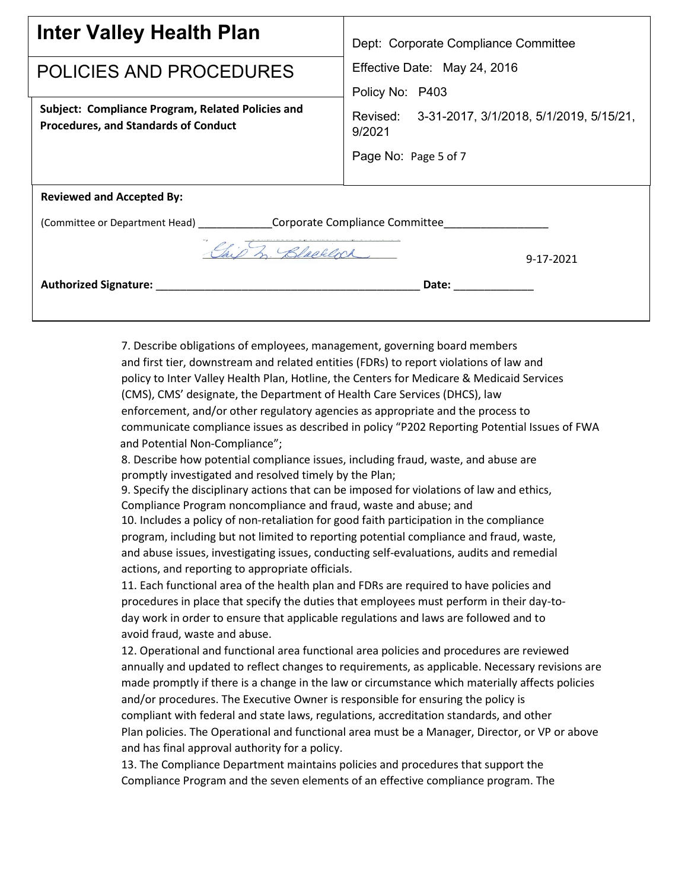| <b>Inter Valley Health Plan</b>                                                                   | Dept: Corporate Compliance Committee                       |  |
|---------------------------------------------------------------------------------------------------|------------------------------------------------------------|--|
| POLICIES AND PROCEDURES                                                                           | Effective Date: May 24, 2016                               |  |
|                                                                                                   | Policy No: P403                                            |  |
| Subject: Compliance Program, Related Policies and<br><b>Procedures, and Standards of Conduct</b>  | Revised: 3-31-2017, 3/1/2018, 5/1/2019, 5/15/21,<br>9/2021 |  |
|                                                                                                   | Page No: Page 5 of 7                                       |  |
| <b>Reviewed and Accepted By:</b><br>(Committee or Department Head) Corporate Compliance Committee |                                                            |  |
| Said In Blacklock,<br>9-17-2021                                                                   |                                                            |  |
| Authorized Signature: National Authorized Signature:                                              | Date: ________________                                     |  |
|                                                                                                   |                                                            |  |
| 7. Deceribo obligations of amployees management, governing board mambers                          |                                                            |  |

7. Describe obligations of employees, management, governing board members and first tier, downstream and related entities (FDRs) to report violations of law and policy to Inter Valley Health Plan, Hotline, the Centers for Medicare & Medicaid Services (CMS), CMS' designate, the Department of Health Care Services (DHCS), law enforcement, and/or other regulatory agencies as appropriate and the process to communicate compliance issues as described in policy "P202 Reporting Potential Issues of FWA and Potential Non-Compliance";

8. Describe how potential compliance issues, including fraud, waste, and abuse are promptly investigated and resolved timely by the Plan;

9. Specify the disciplinary actions that can be imposed for violations of law and ethics, Compliance Program noncompliance and fraud, waste and abuse; and

10. Includes a policy of non-retaliation for good faith participation in the compliance program, including but not limited to reporting potential compliance and fraud, waste, and abuse issues, investigating issues, conducting self-evaluations, audits and remedial actions, and reporting to appropriate officials.

11. Each functional area of the health plan and FDRs are required to have policies and procedures in place that specify the duties that employees must perform in their day-today work in order to ensure that applicable regulations and laws are followed and to avoid fraud, waste and abuse.

12. Operational and functional area functional area policies and procedures are reviewed annually and updated to reflect changes to requirements, as applicable. Necessary revisions are made promptly if there is a change in the law or circumstance which materially affects policies and/or procedures. The Executive Owner is responsible for ensuring the policy is compliant with federal and state laws, regulations, accreditation standards, and other Plan policies. The Operational and functional area must be a Manager, Director, or VP or above and has final approval authority for a policy.

13. The Compliance Department maintains policies and procedures that support the Compliance Program and the seven elements of an effective compliance program. The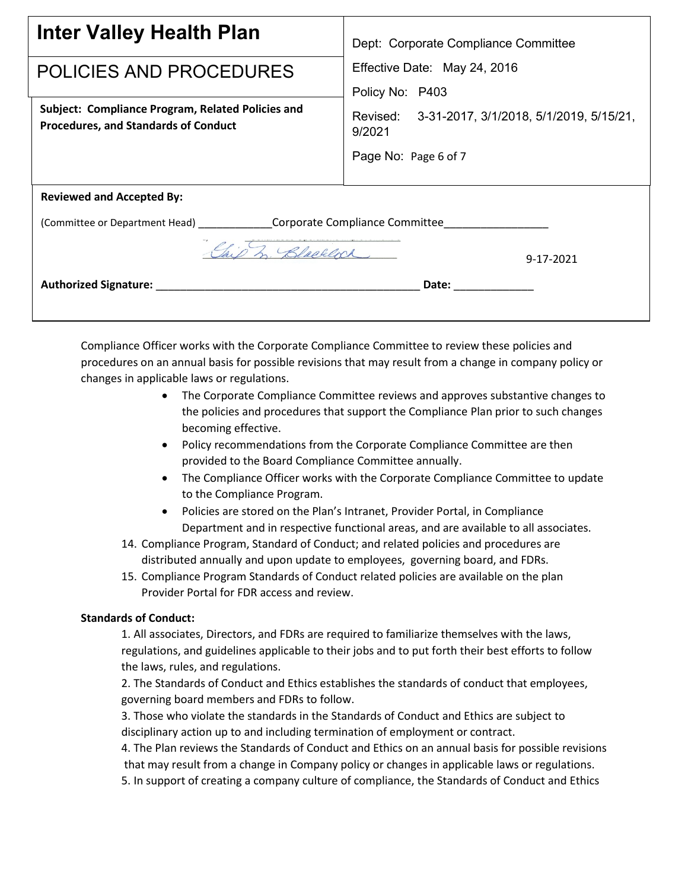| <b>Inter Valley Health Plan</b>                                                                  | Dept: Corporate Compliance Committee                       |
|--------------------------------------------------------------------------------------------------|------------------------------------------------------------|
| POLICIES AND PROCEDURES                                                                          | Effective Date: May 24, 2016                               |
|                                                                                                  | Policy No: P403                                            |
| Subject: Compliance Program, Related Policies and<br><b>Procedures, and Standards of Conduct</b> | Revised: 3-31-2017, 3/1/2018, 5/1/2019, 5/15/21,<br>9/2021 |
|                                                                                                  | Page No: Page 6 of 7                                       |
|                                                                                                  |                                                            |
| <b>Reviewed and Accepted By:</b>                                                                 |                                                            |
| (Committee or Department Head) Corporate Compliance Committee                                    |                                                            |
| 3 Blacklock<br>9-17-2021                                                                         |                                                            |
| Authorized Signature: National Authorized Signature:                                             | Date: ______________                                       |
|                                                                                                  |                                                            |

Compliance Officer works with the Corporate Compliance Committee to review these policies and procedures on an annual basis for possible revisions that may result from a change in company policy or changes in applicable laws or regulations.

- The Corporate Compliance Committee reviews and approves substantive changes to the policies and procedures that support the Compliance Plan prior to such changes becoming effective.
- Policy recommendations from the Corporate Compliance Committee are then provided to the Board Compliance Committee annually.
- The Compliance Officer works with the Corporate Compliance Committee to update to the Compliance Program.
- Policies are stored on the Plan's Intranet, Provider Portal, in Compliance Department and in respective functional areas, and are available to all associates.
- 14. Compliance Program, Standard of Conduct; and related policies and procedures are distributed annually and upon update to employees, governing board, and FDRs.
- 15. Compliance Program Standards of Conduct related policies are available on the plan Provider Portal for FDR access and review.

## **Standards of Conduct:**

1. All associates, Directors, and FDRs are required to familiarize themselves with the laws, regulations, and guidelines applicable to their jobs and to put forth their best efforts to follow the laws, rules, and regulations.

2. The Standards of Conduct and Ethics establishes the standards of conduct that employees, governing board members and FDRs to follow.

3. Those who violate the standards in the Standards of Conduct and Ethics are subject to disciplinary action up to and including termination of employment or contract.

4. The Plan reviews the Standards of Conduct and Ethics on an annual basis for possible revisions that may result from a change in Company policy or changes in applicable laws or regulations.

5. In support of creating a company culture of compliance, the Standards of Conduct and Ethics